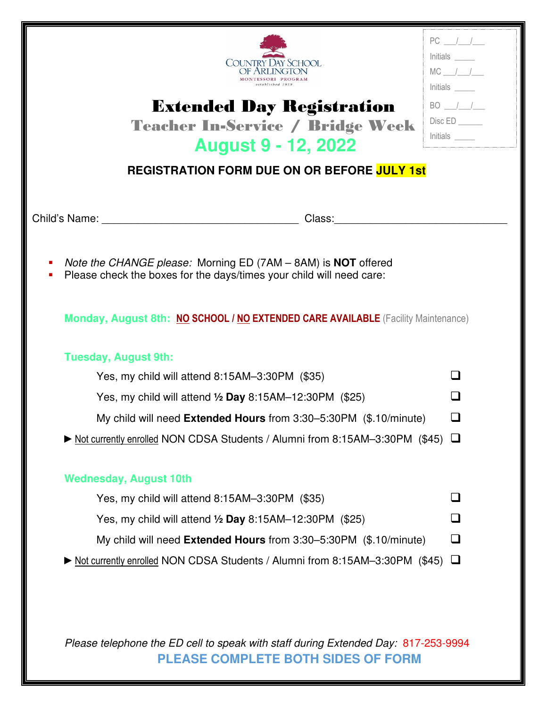| COUNTRY DAY SCHOOL<br><b>Extended Day Registration</b><br><b>Teacher In-Service / Bridge Week</b><br><b>August 9 - 12, 2022</b> | Initials<br>$MC$ / /<br>Initials<br>$BO$ / /<br>Disc ED<br>$Initials$ <sub>_____</sub> |
|---------------------------------------------------------------------------------------------------------------------------------|----------------------------------------------------------------------------------------|
| <b>REGISTRATION FORM DUE ON OR BEFORE JULY 1st</b>                                                                              |                                                                                        |
|                                                                                                                                 |                                                                                        |
| Note the CHANGE please: Morning ED (7AM - 8AM) is <b>NOT</b> offered<br>п                                                       |                                                                                        |
| Please check the boxes for the days/times your child will need care:                                                            |                                                                                        |
| Monday, August 8th: NO SCHOOL / NO EXTENDED CARE AVAILABLE (Facility Maintenance)                                               |                                                                                        |
| <b>Tuesday, August 9th:</b>                                                                                                     |                                                                                        |
| Yes, my child will attend 8:15AM-3:30PM (\$35)                                                                                  | $\mathsf{L}$                                                                           |
| Yes, my child will attend $\frac{1}{2}$ Day 8:15AM-12:30PM (\$25)                                                               | l I                                                                                    |
| My child will need Extended Hours from 3:30-5:30PM (\$.10/minute)                                                               | $\sqcup$                                                                               |
| ▶ Not currently enrolled NON CDSA Students / Alumni from 8:15AM-3:30PM (\$45) □                                                 |                                                                                        |
| <b>Wednesday, August 10th</b>                                                                                                   |                                                                                        |
| Yes, my child will attend 8:15AM-3:30PM (\$35)                                                                                  | l 1                                                                                    |
| Yes, my child will attend $\frac{1}{2}$ Day 8:15AM-12:30PM (\$25)                                                               | ப                                                                                      |
| My child will need Extended Hours from 3:30-5:30PM (\$.10/minute)                                                               | ❏                                                                                      |

Please telephone the ED cell to speak with staff during Extended Day: 817-253-9994 **PLEASE COMPLETE BOTH SIDES OF FORM**